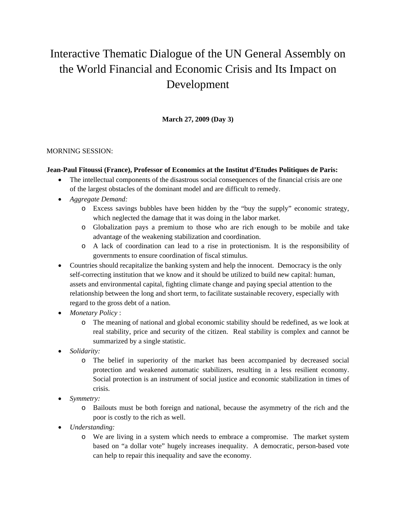# Interactive Thematic Dialogue of the UN General Assembly on the World Financial and Economic Crisis and Its Impact on Development

**March 27, 2009 (Day 3)** 

## MORNING SESSION:

#### **Jean-Paul Fitoussi (France), Professor of Economics at the Institut d'Etudes Politiques de Paris:**

- The intellectual components of the disastrous social consequences of the financial crisis are one of the largest obstacles of the dominant model and are difficult to remedy.
- *Aggregate Demand:* 
	- o Excess savings bubbles have been hidden by the "buy the supply" economic strategy, which neglected the damage that it was doing in the labor market.
	- o Globalization pays a premium to those who are rich enough to be mobile and take advantage of the weakening stabilization and coordination.
	- o A lack of coordination can lead to a rise in protectionism. It is the responsibility of governments to ensure coordination of fiscal stimulus.
- Countries should recapitalize the banking system and help the innocent. Democracy is the only self-correcting institution that we know and it should be utilized to build new capital: human, assets and environmental capital, fighting climate change and paying special attention to the relationship between the long and short term, to facilitate sustainable recovery, especially with regard to the gross debt of a nation.
- *Monetary Policy* :
	- o The meaning of national and global economic stability should be redefined, as we look at real stability, price and security of the citizen. Real stability is complex and cannot be summarized by a single statistic.
- *Solidarity:* 
	- o The belief in superiority of the market has been accompanied by decreased social protection and weakened automatic stabilizers, resulting in a less resilient economy. Social protection is an instrument of social justice and economic stabilization in times of crisis.
- *Symmetry:* 
	- o Bailouts must be both foreign and national, because the asymmetry of the rich and the poor is costly to the rich as well.
- *Understanding:* 
	- o We are living in a system which needs to embrace a compromise. The market system based on "a dollar vote" hugely increases inequality. A democratic, person-based vote can help to repair this inequality and save the economy.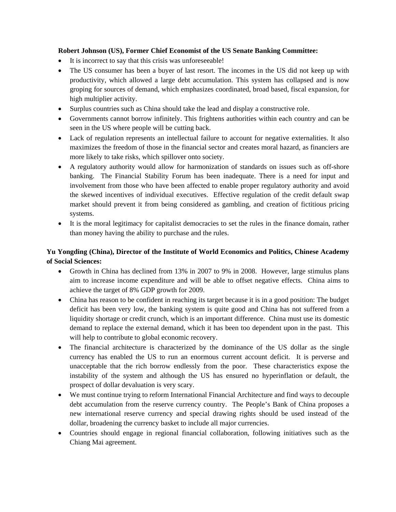#### **Robert Johnson (US), Former Chief Economist of the US Senate Banking Committee:**

- It is incorrect to say that this crisis was unforeseeable!
- The US consumer has been a buyer of last resort. The incomes in the US did not keep up with productivity, which allowed a large debt accumulation. This system has collapsed and is now groping for sources of demand, which emphasizes coordinated, broad based, fiscal expansion, for high multiplier activity.
- Surplus countries such as China should take the lead and display a constructive role.
- Governments cannot borrow infinitely. This frightens authorities within each country and can be seen in the US where people will be cutting back.
- Lack of regulation represents an intellectual failure to account for negative externalities. It also maximizes the freedom of those in the financial sector and creates moral hazard, as financiers are more likely to take risks, which spillover onto society.
- A regulatory authority would allow for harmonization of standards on issues such as off-shore banking. The Financial Stability Forum has been inadequate. There is a need for input and involvement from those who have been affected to enable proper regulatory authority and avoid the skewed incentives of individual executives. Effective regulation of the credit default swap market should prevent it from being considered as gambling, and creation of fictitious pricing systems.
- It is the moral legitimacy for capitalist democracies to set the rules in the finance domain, rather than money having the ability to purchase and the rules.

# **Yu Yongding (China), Director of the Institute of World Economics and Politics, Chinese Academy of Social Sciences:**

- Growth in China has declined from 13% in 2007 to 9% in 2008. However, large stimulus plans aim to increase income expenditure and will be able to offset negative effects. China aims to achieve the target of 8% GDP growth for 2009.
- China has reason to be confident in reaching its target because it is in a good position: The budget deficit has been very low, the banking system is quite good and China has not suffered from a liquidity shortage or credit crunch, which is an important difference. China must use its domestic demand to replace the external demand, which it has been too dependent upon in the past. This will help to contribute to global economic recovery.
- The financial architecture is characterized by the dominance of the US dollar as the single currency has enabled the US to run an enormous current account deficit. It is perverse and unacceptable that the rich borrow endlessly from the poor. These characteristics expose the instability of the system and although the US has ensured no hyperinflation or default, the prospect of dollar devaluation is very scary.
- We must continue trying to reform International Financial Architecture and find ways to decouple debt accumulation from the reserve currency country. The People's Bank of China proposes a new international reserve currency and special drawing rights should be used instead of the dollar, broadening the currency basket to include all major currencies.
- Countries should engage in regional financial collaboration, following initiatives such as the Chiang Mai agreement.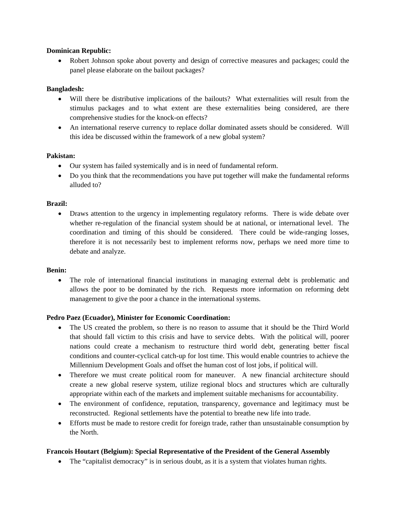#### **Dominican Republic:**

• Robert Johnson spoke about poverty and design of corrective measures and packages; could the panel please elaborate on the bailout packages?

## **Bangladesh:**

- Will there be distributive implications of the bailouts? What externalities will result from the stimulus packages and to what extent are these externalities being considered, are there comprehensive studies for the knock-on effects?
- An international reserve currency to replace dollar dominated assets should be considered. Will this idea be discussed within the framework of a new global system?

#### **Pakistan:**

- Our system has failed systemically and is in need of fundamental reform.
- Do you think that the recommendations you have put together will make the fundamental reforms alluded to?

#### **Brazil:**

• Draws attention to the urgency in implementing regulatory reforms. There is wide debate over whether re-regulation of the financial system should be at national, or international level. The coordination and timing of this should be considered. There could be wide-ranging losses, therefore it is not necessarily best to implement reforms now, perhaps we need more time to debate and analyze.

#### **Benin:**

• The role of international financial institutions in managing external debt is problematic and allows the poor to be dominated by the rich. Requests more information on reforming debt management to give the poor a chance in the international systems.

#### **Pedro Paez (Ecuador), Minister for Economic Coordination:**

- The US created the problem, so there is no reason to assume that it should be the Third World that should fall victim to this crisis and have to service debts. With the political will, poorer nations could create a mechanism to restructure third world debt, generating better fiscal conditions and counter-cyclical catch-up for lost time. This would enable countries to achieve the Millennium Development Goals and offset the human cost of lost jobs, if political will.
- Therefore we must create political room for maneuver. A new financial architecture should create a new global reserve system, utilize regional blocs and structures which are culturally appropriate within each of the markets and implement suitable mechanisms for accountability.
- The environment of confidence, reputation, transparency, governance and legitimacy must be reconstructed. Regional settlements have the potential to breathe new life into trade.
- Efforts must be made to restore credit for foreign trade, rather than unsustainable consumption by the North.

## **Francois Houtart (Belgium): Special Representative of the President of the General Assembly**

• The "capitalist democracy" is in serious doubt, as it is a system that violates human rights.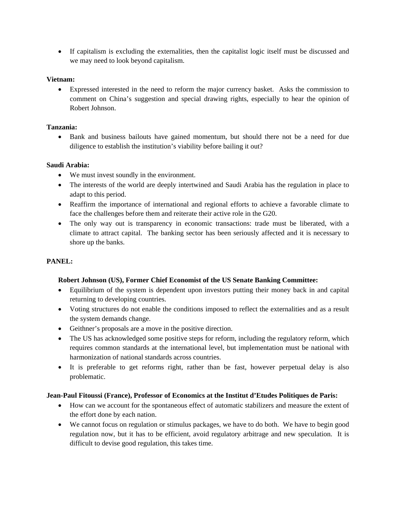• If capitalism is excluding the externalities, then the capitalist logic itself must be discussed and we may need to look beyond capitalism.

#### **Vietnam:**

• Expressed interested in the need to reform the major currency basket. Asks the commission to comment on China's suggestion and special drawing rights, especially to hear the opinion of Robert Johnson.

#### **Tanzania:**

• Bank and business bailouts have gained momentum, but should there not be a need for due diligence to establish the institution's viability before bailing it out?

#### **Saudi Arabia:**

- We must invest soundly in the environment.
- The interests of the world are deeply intertwined and Saudi Arabia has the regulation in place to adapt to this period.
- Reaffirm the importance of international and regional efforts to achieve a favorable climate to face the challenges before them and reiterate their active role in the G20.
- The only way out is transparency in economic transactions: trade must be liberated, with a climate to attract capital. The banking sector has been seriously affected and it is necessary to shore up the banks.

## **PANEL:**

## **Robert Johnson (US), Former Chief Economist of the US Senate Banking Committee:**

- Equilibrium of the system is dependent upon investors putting their money back in and capital returning to developing countries.
- Voting structures do not enable the conditions imposed to reflect the externalities and as a result the system demands change.
- Geithner's proposals are a move in the positive direction.
- The US has acknowledged some positive steps for reform, including the regulatory reform, which requires common standards at the international level, but implementation must be national with harmonization of national standards across countries.
- It is preferable to get reforms right, rather than be fast, however perpetual delay is also problematic.

## **Jean-Paul Fitoussi (France), Professor of Economics at the Institut d'Etudes Politiques de Paris:**

- How can we account for the spontaneous effect of automatic stabilizers and measure the extent of the effort done by each nation.
- We cannot focus on regulation or stimulus packages, we have to do both. We have to begin good regulation now, but it has to be efficient, avoid regulatory arbitrage and new speculation. It is difficult to devise good regulation, this takes time.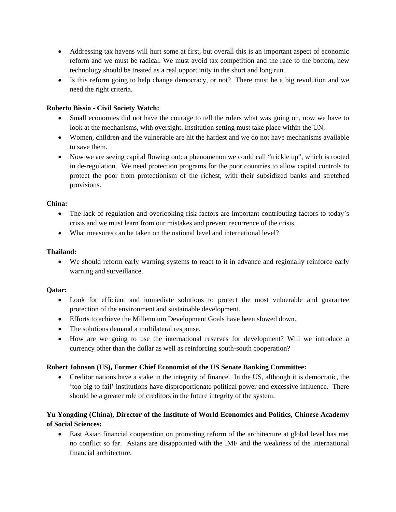- Addressing tax havens will hurt some at first, but overall this is an important aspect of economic reform and we must be radical. We must avoid tax competition and the race to the bottom, new technology should be treated as a real opportunity in the short and long run.
- Is this reform going to help change democracy, or not? There must be a big revolution and we need the right criteria.

## **Roberto Bissio - Civil Society Watch:**

- Small economies did not have the courage to tell the rulers what was going on, now we have to look at the mechanisms, with oversight. Institution setting must take place within the UN.
- Women, children and the vulnerable are hit the hardest and we do not have mechanisms available to save them.
- Now we are seeing capital flowing out: a phenomenon we could call "trickle up", which is rooted in de-regulation. We need protection programs for the poor countries to allow capital controls to protect the poor from protectionism of the richest, with their subsidized banks and stretched provisions.

#### **China:**

- The lack of regulation and overlooking risk factors are important contributing factors to today's crisis and we must learn from our mistakes and prevent recurrence of the crisis.
- What measures can be taken on the national level and international level?

#### **Thailand:**

• We should reform early warning systems to react to it in advance and regionally reinforce early warning and surveillance.

#### **Qatar:**

- Look for efficient and immediate solutions to protect the most vulnerable and guarantee protection of the environment and sustainable development.
- Efforts to achieve the Millennium Development Goals have been slowed down.
- The solutions demand a multilateral response.
- How are we going to use the international reserves for development? Will we introduce a currency other than the dollar as well as reinforcing south-south cooperation?

## **Robert Johnson (US), Former Chief Economist of the US Senate Banking Committee:**

• Creditor nations have a stake in the integrity of finance. In the US, although it is democratic, the 'too big to fail' institutions have disproportionate political power and excessive influence. There should be a greater role of creditors in the future integrity of the system.

# **Yu Yongding (China), Director of the Institute of World Economics and Politics, Chinese Academy of Social Sciences:**

• East Asian financial cooperation on promoting reform of the architecture at global level has met no conflict so far. Asians are disappointed with the IMF and the weakness of the international financial architecture.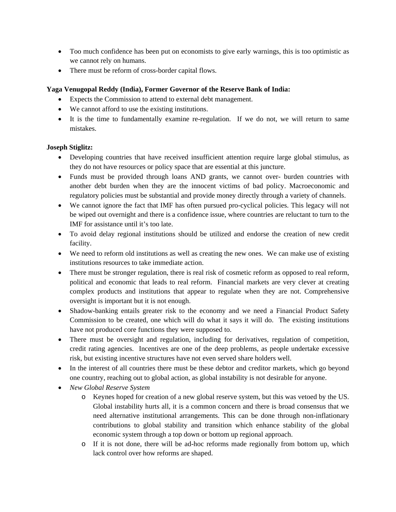- Too much confidence has been put on economists to give early warnings, this is too optimistic as we cannot rely on humans.
- There must be reform of cross-border capital flows.

## **Yaga Venugopal Reddy (India), Former Governor of the Reserve Bank of India:**

- Expects the Commission to attend to external debt management.
- We cannot afford to use the existing institutions.
- It is the time to fundamentally examine re-regulation. If we do not, we will return to same mistakes.

## **Joseph Stiglitz:**

- Developing countries that have received insufficient attention require large global stimulus, as they do not have resources or policy space that are essential at this juncture.
- Funds must be provided through loans AND grants, we cannot over- burden countries with another debt burden when they are the innocent victims of bad policy. Macroeconomic and regulatory policies must be substantial and provide money directly through a variety of channels.
- We cannot ignore the fact that IMF has often pursued pro-cyclical policies. This legacy will not be wiped out overnight and there is a confidence issue, where countries are reluctant to turn to the IMF for assistance until it's too late.
- To avoid delay regional institutions should be utilized and endorse the creation of new credit facility.
- We need to reform old institutions as well as creating the new ones. We can make use of existing institutions resources to take immediate action.
- There must be stronger regulation, there is real risk of cosmetic reform as opposed to real reform, political and economic that leads to real reform. Financial markets are very clever at creating complex products and institutions that appear to regulate when they are not. Comprehensive oversight is important but it is not enough.
- Shadow-banking entails greater risk to the economy and we need a Financial Product Safety Commission to be created, one which will do what it says it will do. The existing institutions have not produced core functions they were supposed to.
- There must be oversight and regulation, including for derivatives, regulation of competition, credit rating agencies. Incentives are one of the deep problems, as people undertake excessive risk, but existing incentive structures have not even served share holders well.
- In the interest of all countries there must be these debtor and creditor markets, which go beyond one country, reaching out to global action, as global instability is not desirable for anyone.
- *New Global Reserve System*
	- o Keynes hoped for creation of a new global reserve system, but this was vetoed by the US. Global instability hurts all, it is a common concern and there is broad consensus that we need alternative institutional arrangements. This can be done through non-inflationary contributions to global stability and transition which enhance stability of the global economic system through a top down or bottom up regional approach.
	- o If it is not done, there will be ad-hoc reforms made regionally from bottom up, which lack control over how reforms are shaped.